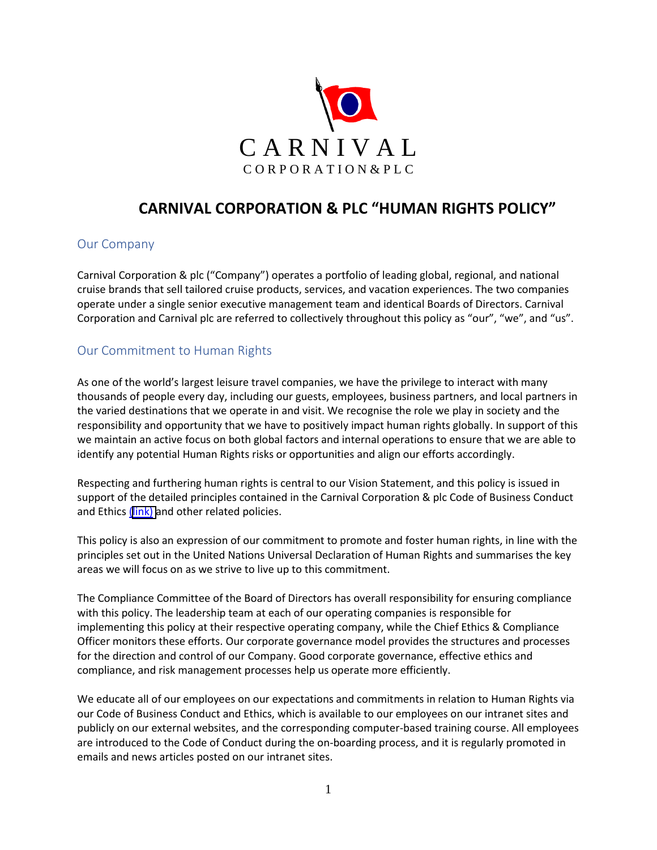

# **CARNIVAL CORPORATION & PLC "HUMAN RIGHTS POLICY"**

### Our Company

Carnival Corporation & plc ("Company") operates a portfolio of leading global, regional, and national cruise brands that sell tailored cruise products, services, and vacation experiences. The two companies operate under a single senior executive management team and identical Boards of Directors. Carnival Corporation and Carnival plc are referred to collectively throughout this policy as "our", "we", and "us".

# Our Commitment to Human Rights

As one of the world's largest leisure travel companies, we have the privilege to interact with many thousands of people every day, including our guests, employees, business partners, and local partners in the varied destinations that we operate in and visit. We recognise the role we play in society and the responsibility and opportunity that we have to positively impact human rights globally. In support of this we maintain an active focus on both global factors and internal operations to ensure that we are able to identify any potential Human Rights risks or opportunities and align our efforts accordingly.

Respecting and furthering human rights is central to our Vision Statement, and this policy is issued in support of the detailed principles contained in the Carnival Corporation & plc Code of Business Conduct and Ethics ([link\)](https://www.carnivalcorp.com/governance/business-conduct-ethics) and other related policies.

This policy is also an expression of our commitment to promote and foster human rights, in line with the principles set out in the United Nations Universal Declaration of Human Rights and summarises the key areas we will focus on as we strive to live up to this commitment.

The Compliance Committee of the Board of Directors has overall responsibility for ensuring compliance with this policy. The leadership team at each of our operating companies is responsible for implementing this policy at their respective operating company, while the Chief Ethics & Compliance Officer monitors these efforts. Our corporate governance model provides the structures and processes for the direction and control of our Company. Good corporate governance, effective ethics and compliance, and risk management processes help us operate more efficiently.

We educate all of our employees on our expectations and commitments in relation to Human Rights via our Code of Business Conduct and Ethics, which is available to our employees on our intranet sites and publicly on our external websites, and the corresponding computer-based training course. All employees are introduced to the Code of Conduct during the on-boarding process, and it is regularly promoted in emails and news articles posted on our intranet sites.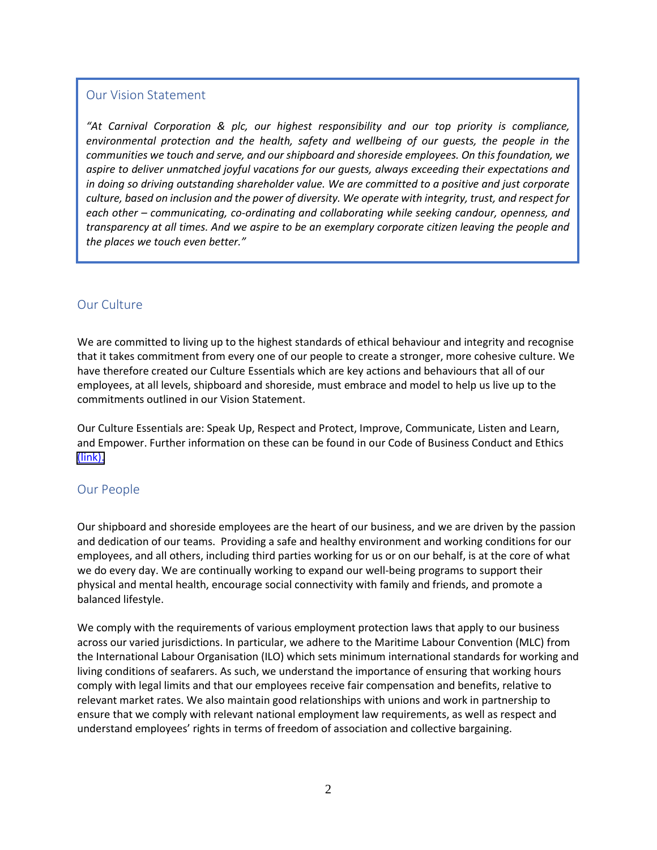#### Our Vision Statement

*"At Carnival Corporation & plc, our highest responsibility and our top priority is compliance, environmental protection and the health, safety and wellbeing of our guests, the people in the communities we touch and serve, and our shipboard and shoreside employees. On this foundation, we aspire to deliver unmatched joyful vacations for our guests, always exceeding their expectations and in doing so driving outstanding shareholder value. We are committed to a positive and just corporate culture, based on inclusion and the power of diversity. We operate with integrity, trust, and respect for each other – communicating, co-ordinating and collaborating while seeking candour, openness, and transparency at all times. And we aspire to be an exemplary corporate citizen leaving the people and the places we touch even better."*

## Our Culture

We are committed to living up to the highest standards of ethical behaviour and integrity and recognise that it takes commitment from every one of our people to create a stronger, more cohesive culture. We have therefore created our Culture Essentials which are key actions and behaviours that all of our employees, at all levels, shipboard and shoreside, must embrace and model to help us live up to the commitments outlined in our Vision Statement.

Our Culture Essentials are: Speak Up, Respect and Protect, Improve, Communicate, Listen and Learn, and Empower. Further information on these can be found in our Code of Business Conduct and Ethics [\(link\).](https://www.carnivalcorp.com/governance/business-conduct-ethics)

### Our People

 we do every day. We are continually working to expand our well-being programs to support their Our shipboard and shoreside employees are the heart of our business, and we are driven by the passion and dedication of our teams. Providing a safe and healthy environment and working conditions for our employees, and all others, including third parties working for us or on our behalf, is at the core of what physical and mental health, encourage social connectivity with family and friends, and promote a balanced lifestyle.

 relevant market rates. We also maintain good relationships with unions and work in partnership to We comply with the requirements of various employment protection laws that apply to our business across our varied jurisdictions. In particular, we adhere to the Maritime Labour Convention (MLC) from the International Labour Organisation (ILO) which sets minimum international standards for working and living conditions of seafarers. As such, we understand the importance of ensuring that working hours comply with legal limits and that our employees receive fair compensation and benefits, relative to ensure that we comply with relevant national employment law requirements, as well as respect and understand employees' rights in terms of freedom of association and collective bargaining.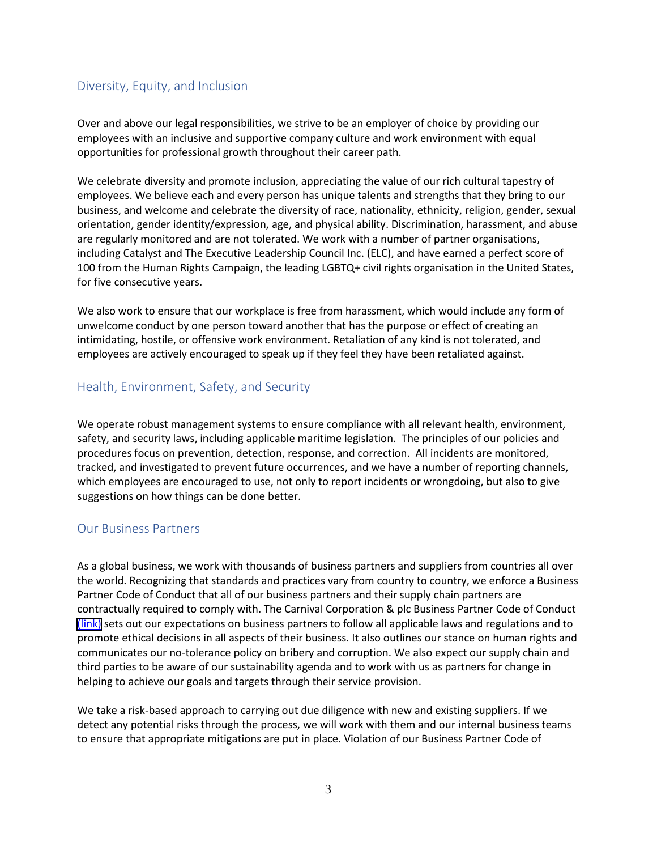## Diversity, Equity, and Inclusion

Over and above our legal responsibilities, we strive to be an employer of choice by providing our employees with an inclusive and supportive company culture and work environment with equal opportunities for professional growth throughout their career path.

We celebrate diversity and promote inclusion, appreciating the value of our rich cultural tapestry of employees. We believe each and every person has unique talents and strengths that they bring to our business, and welcome and celebrate the diversity of race, nationality, ethnicity, religion, gender, sexual orientation, gender identity/expression, age, and physical ability. Discrimination, harassment, and abuse are regularly monitored and are not tolerated. We work with a number of partner organisations, including Catalyst and The Executive Leadership Council Inc. (ELC), and have earned a perfect score of 100 from the Human Rights Campaign, the leading LGBTQ+ civil rights organisation in the United States, for five consecutive years.

We also work to ensure that our workplace is free from harassment, which would include any form of unwelcome conduct by one person toward another that has the purpose or effect of creating an intimidating, hostile, or offensive work environment. Retaliation of any kind is not tolerated, and employees are actively encouraged to speak up if they feel they have been retaliated against.

### Health, Environment, Safety, and Security

 which employees are encouraged to use, not only to report incidents or wrongdoing, but also to give We operate robust management systems to ensure compliance with all relevant health, environment, safety, and security laws, including applicable maritime legislation. The principles of our policies and procedures focus on prevention, detection, response, and correction. All incidents are monitored, tracked, and investigated to prevent future occurrences, and we have a number of reporting channels, suggestions on how things can be done better.

## Our Business Partners

As a global business, we work with thousands of business partners and suppliers from countries all over the world. Recognizing that standards and practices vary from country to country, we enforce a Business Partner Code of Conduct that all of our business partners and their supply chain partners are contractually required to comply with. The Carnival Corporation & plc Business Partner Code of Conduct [\(link\)](https://www.carnivalcorp.com/governance/business-conduct-ethics) sets out our expectations on business partners to follow all applicable laws and regulations and to promote ethical decisions in all aspects of their business. It also outlines our stance on human rights and communicates our no-tolerance policy on bribery and corruption. We also expect our supply chain and third parties to be aware of our sustainability agenda and to work with us as partners for change in helping to achieve our goals and targets through their service provision.

We take a risk-based approach to carrying out due diligence with new and existing suppliers. If we detect any potential risks through the process, we will work with them and our internal business teams to ensure that appropriate mitigations are put in place. Violation of our Business Partner Code of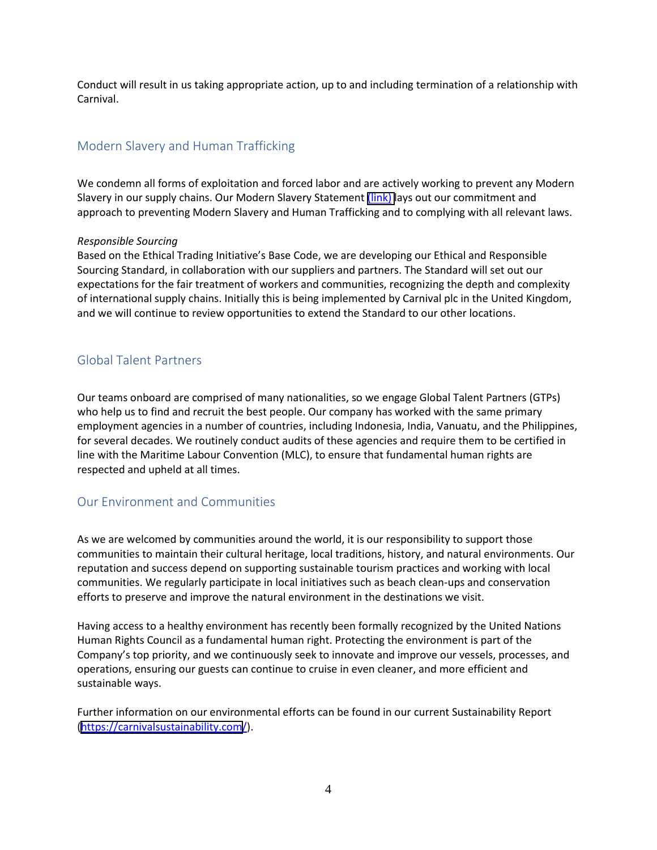Conduct will result in us taking appropriate action, up to and including termination of a relationship with Carnival.

# Modern Slavery and Human Trafficking

We condemn all forms of exploitation and forced labor and are actively working to prevent any Modern Slavery in our supply chains. Our Modern Slavery Statement [\(link\)](https://www.carnivalcorp.com/static-files/f9f28fe2-8e05-4d5b-b292-30d825eeccdc) lays out our commitment and approach to preventing Modern Slavery and Human Trafficking and to complying with all relevant laws.

#### *Responsible Sourcing*

Based on the Ethical Trading Initiative's Base Code, we are developing our Ethical and Responsible Sourcing Standard, in collaboration with our suppliers and partners. The Standard will set out our expectations for the fair treatment of workers and communities, recognizing the depth and complexity of international supply chains. Initially this is being implemented by Carnival plc in the United Kingdom, and we will continue to review opportunities to extend the Standard to our other locations.

## Global Talent Partners

Our teams onboard are comprised of many nationalities, so we engage Global Talent Partners (GTPs) who help us to find and recruit the best people. Our company has worked with the same primary employment agencies in a number of countries, including Indonesia, India, Vanuatu, and the Philippines, for several decades. We routinely conduct audits of these agencies and require them to be certified in line with the Maritime Labour Convention (MLC), to ensure that fundamental human rights are respected and upheld at all times.

# Our Environment and Communities

 communities to maintain their cultural heritage, local traditions, history, and natural environments. Our As we are welcomed by communities around the world, it is our responsibility to support those reputation and success depend on supporting sustainable tourism practices and working with local communities. We regularly participate in local initiatives such as beach clean-ups and conservation efforts to preserve and improve the natural environment in the destinations we visit.

Having access to a healthy environment has recently been formally recognized by the United Nations Human Rights Council as a fundamental human right. Protecting the environment is part of the Company's top priority, and we continuously seek to innovate and improve our vessels, processes, and operations, ensuring our guests can continue to cruise in even cleaner, and more efficient and sustainable ways.

Further information on our environmental efforts can be found in our current Sustainability Report [\(https://carnivalsustainability.com/](https://carnivalsustainability.com/)).